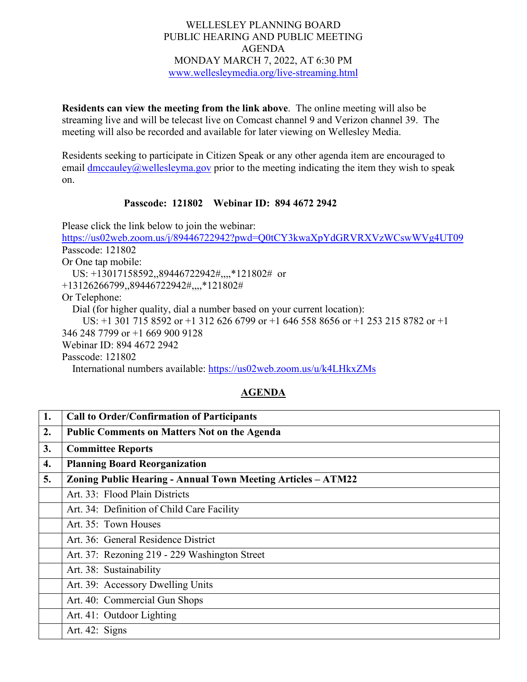## WELLESLEY PLANNING BOARD PUBLIC HEARING AND PUBLIC MEETING AGENDA MONDAY MARCH 7, 2022, AT 6:30 PM [www.wellesleymedia.org/live-streaming.html](http://www.wellesleymedia.org/live-streaming.html)

**Residents can view the meeting from the link above**. The online meeting will also be streaming live and will be telecast live on Comcast channel 9 and Verizon channel 39. The meeting will also be recorded and available for later viewing on Wellesley Media.

Residents seeking to participate in Citizen Speak or any other agenda item are encouraged to email  $\frac{dmcauley}{a}$  wellesleyma.gov prior to the meeting indicating the item they wish to speak on.

## **Passcode: 121802 Webinar ID: 894 4672 2942**

Please click the link below to join the webinar: <https://us02web.zoom.us/j/89446722942?pwd=Q0tCY3kwaXpYdGRVRXVzWCswWVg4UT09> Passcode: 121802 Or One tap mobile: US: +13017158592,,89446722942#,,,,\*121802# or +13126266799,,89446722942#,,,,\*121802# Or Telephone: Dial (for higher quality, dial a number based on your current location): US: +1 301 715 8592 or +1 312 626 6799 or +1 646 558 8656 or +1 253 215 8782 or +1 346 248 7799 or +1 669 900 9128 Webinar ID: 894 4672 2942 Passcode: 121802 International numbers available:<https://us02web.zoom.us/u/k4LHkxZMs>

## **AGENDA**

| 1. | <b>Call to Order/Confirmation of Participants</b>                   |  |  |
|----|---------------------------------------------------------------------|--|--|
| 2. | <b>Public Comments on Matters Not on the Agenda</b>                 |  |  |
| 3. | <b>Committee Reports</b>                                            |  |  |
| 4. | <b>Planning Board Reorganization</b>                                |  |  |
| 5. | <b>Zoning Public Hearing - Annual Town Meeting Articles – ATM22</b> |  |  |
|    | Art. 33: Flood Plain Districts                                      |  |  |
|    | Art. 34: Definition of Child Care Facility                          |  |  |
|    | Art. 35: Town Houses                                                |  |  |
|    | Art. 36: General Residence District                                 |  |  |
|    | Art. 37: Rezoning 219 - 229 Washington Street                       |  |  |
|    | Art. 38: Sustainability                                             |  |  |
|    | Art. 39: Accessory Dwelling Units                                   |  |  |
|    | Art. 40: Commercial Gun Shops                                       |  |  |
|    | Art. 41: Outdoor Lighting                                           |  |  |
|    | Art. 42: Signs                                                      |  |  |